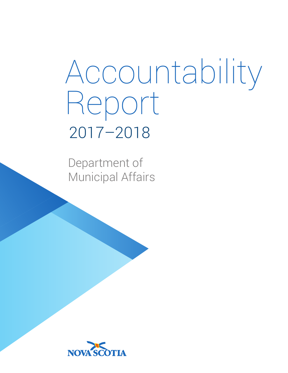# Accountability Report 2017–2018

Department of Municipal Affairs

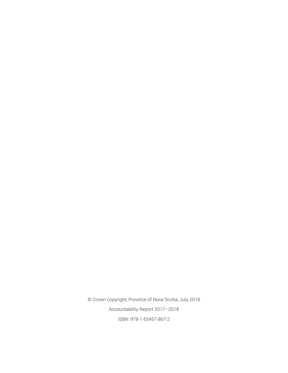© Crown copyright, Province of Nova Scotia, July 2018 Accountability Report 2017–2018 ISBN: 978-1-55457-867-2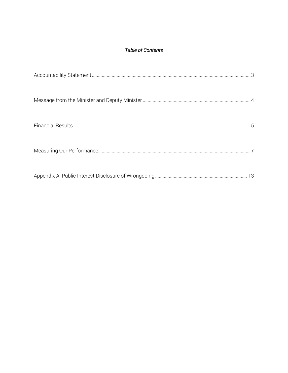# Table of Contents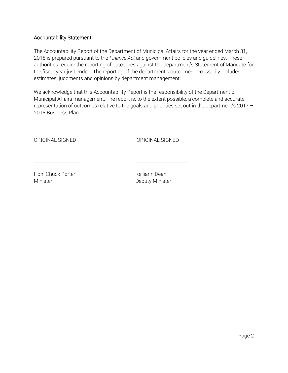#### Accountability Statement

The Accountability Report of the Department of Municipal Affairs for the year ended March 31, 2018 is prepared pursuant to the *Finance Act* and government policies and guidelines. These authorities require the reporting of outcomes against the department's Statement of Mandate for the fiscal year just ended. The reporting of the department's outcomes necessarily includes estimates, judgments and opinions by department management.

We acknowledge that this Accountability Report is the responsibility of the Department of Municipal Affairs management. The report is, to the extent possible, a complete and accurate representation of outcomes relative to the goals and priorities set out in the department's 2017 – 2018 Business Plan.

\_\_\_\_\_\_\_\_\_\_\_\_\_\_\_\_\_\_\_\_\_ \_\_\_\_\_\_\_\_\_\_\_\_\_\_\_\_\_\_\_\_\_\_\_

ORIGINAL SIGNED ORIGINAL SIGNED

Hon. Chuck Porter New York Chuck Porter New York Chuck Bean Minister **Deputy Minister** Deputy Minister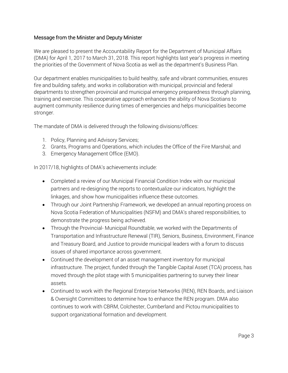## Message from the Minister and Deputy Minister

We are pleased to present the Accountability Report for the Department of Municipal Affairs (DMA) for April 1, 2017 to March 31, 2018. This report highlights last year's progress in meeting the priorities of the Government of Nova Scotia as well as the department's Business Plan.

Our department enables municipalities to build healthy, safe and vibrant communities, ensures fire and building safety, and works in collaboration with municipal, provincial and federal departments to strengthen provincial and municipal emergency preparedness through planning, training and exercise. This cooperative approach enhances the ability of Nova Scotians to augment community resilience during times of emergencies and helps municipalities become stronger.

The mandate of DMA is delivered through the following divisions/offices:

- 1. Policy, Planning and Advisory Services;
- 2. Grants, Programs and Operations, which includes the Office of the Fire Marshal; and
- 3. Emergency Management Office (EMO).

In 2017/18, highlights of DMA's achievements include:

- Completed a review of our Municipal Financial Condition Index with our municipal partners and re-designing the reports to contextualize our indicators, highlight the linkages, and show how municipalities influence these outcomes.
- Through our Joint Partnership Framework, we developed an annual reporting process on Nova Scotia Federation of Municipalities (NSFM) and DMA's shared responsibilities, to demonstrate the progress being achieved.
- Through the Provincial- Municipal Roundtable, we worked with the Departments of Transportation and Infrastructure Renewal (TIR), Seniors, Business, Environment, Finance and Treasury Board, and Justice to provide municipal leaders with a forum to discuss issues of shared importance across government.
- Continued the development of an asset management inventory for municipal infrastructure. The project, funded through the Tangible Capital Asset (TCA) process, has moved through the pilot stage with 5 municipalities partnering to survey their linear assets.
- Continued to work with the Regional Enterprise Networks (REN), REN Boards, and Liaison & Oversight Committees to determine how to enhance the REN program. DMA also continues to work with CBRM, Colchester, Cumberland and Pictou municipalities to support organizational formation and development.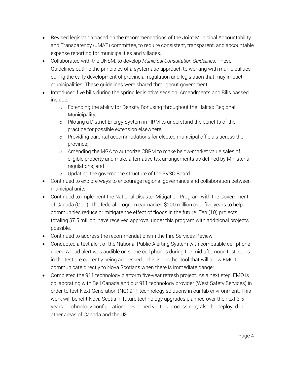- Revised legislation based on the recommendations of the Joint Municipal Accountability and Transparency (JMAT) committee, to require consistent, transparent, and accountable expense reporting for municipalities and villages.
- Collaborated with the UNSM, to develop *Municipal Consultation Guidelines*. These Guidelines outline the principles of a systematic approach to working with municipalities during the early development of provincial regulation and legislation that may impact municipalities. These guidelines were shared throughout government.
- Introduced five bills during the spring legislative session. Amendments and Bills passed include:
	- o Extending the ability for Density Bonusing throughout the Halifax Regional Municipality;
	- o Piloting a District Energy System in HRM to understand the benefits of the practice for possible extension elsewhere;
	- o Providing parental accommodations for elected municipal officials across the province;
	- o Amending the MGA to authorize CBRM to make below-market value sales of eligible property and make alternative tax arrangements as defined by Ministerial regulations; and
	- o Updating the governance structure of the PVSC Board.
- Continued to explore ways to encourage regional governance and collaboration between municipal units.
- Continued to implement the National Disaster Mitigation Program with the Government of Canada (GoC). The federal program earmarked \$200 million over five years to help communities reduce or mitigate the effect of floods in the future. Ten (10) projects, totaling \$7.5 million, have received approval under this program with additional projects possible.
- Continued to address the recommendations in the Fire Services Review.
- Conducted a test alert of the National Public Alerting System with compatible cell phone users. A loud alert was audible on some cell phones during the mid-afternoon test. Gaps in the test are currently being addressed. This is another tool that will allow EMO to communicate directly to Nova Scotians when there is immediate danger.
- Completed the 911 technology platform five-year refresh project. As a next step, EMO is collaborating with Bell Canada and our 911 technology provider (West Safety Services) in order to test Next Generation (NG) 911 technology solutions in our lab environment. This work will benefit Nova Scotia in future technology upgrades planned over the next 3-5 years. Technology configurations developed via this process may also be deployed in other areas of Canada and the US.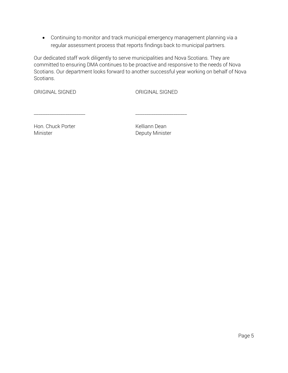• Continuing to monitor and track municipal emergency management planning via a regular assessment process that reports findings back to municipal partners.

Our dedicated staff work diligently to serve municipalities and Nova Scotians. They are committed to ensuring DMA continues to be proactive and responsive to the needs of Nova Scotians. Our department looks forward to another successful year working on behalf of Nova Scotians.

\_\_\_\_\_\_\_\_\_\_\_\_\_\_\_\_\_\_\_\_\_\_\_ \_\_\_\_\_\_\_\_\_\_\_\_\_\_\_\_\_\_\_\_\_\_\_

ORIGINAL SIGNED ORIGINAL SIGNED

Hon. Chuck Porter News, 2008, 2008, 2019 Minister **Deputy Minister**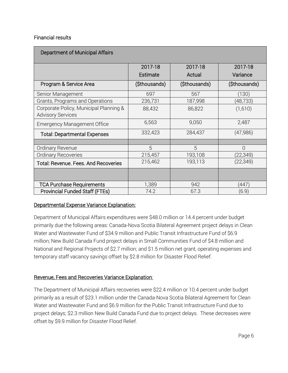#### Financial results

| Department of Municipal Affairs                                    |               |               |               |  |
|--------------------------------------------------------------------|---------------|---------------|---------------|--|
|                                                                    | 2017-18       | 2017-18       | 2017-18       |  |
|                                                                    | Estimate      | Actual        | Variance      |  |
| Program & Service Area                                             | (\$thousands) | (\$thousands) | (\$thousands) |  |
| Senior Management                                                  | 697           | 567           | (130)         |  |
| Grants, Programs and Operations                                    | 236,731       | 187,998       | (48,733)      |  |
| Corporate Policy, Municipal Planning &<br><b>Advisory Services</b> | 88,432        | 86,822        | (1,610)       |  |
| <b>Emergency Management Office</b>                                 | 6,563         | 9,050         | 2,487         |  |
| <b>Total: Departmental Expenses</b>                                | 332,423       | 284,437       | (47,986)      |  |
|                                                                    |               |               |               |  |
| Ordinary Revenue                                                   | 5             | 5             | $\Omega$      |  |
| Ordinary Recoveries                                                | 215,457       | 193,108       | (22,349)      |  |
| Total: Revenue. Fees. And Recoveries                               | 215,462       | 193,113       | (22, 349)     |  |
|                                                                    |               |               |               |  |
| <b>TCA Purchase Requirements</b>                                   | 1,389         | 942           | (447)         |  |
| <b>Provincial Funded Staff (FTEs)</b>                              | 74.2          | 67.3          | (6.9)         |  |

#### Departmental Expense Variance Explanation:

Department of Municipal Affairs expenditures were \$48.0 million or 14.4 percent under budget primarily due the following areas: Canada-Nova Scotia Bilateral Agreement project delays in Clean Water and Wastewater Fund of \$34.9 million and Public Transit Infrastructure Fund of \$6.9 million; New Build Canada Fund project delays in Small Communities Fund of \$4.8 million and National and Regional Projects of \$2.7 million; and \$1.5 million net grant, operating expenses and temporary staff vacancy savings offset by \$2.8 million for Disaster Flood Relief.

#### Revenue, Fees and Recoveries Variance Explanation:

The Department of Municipal Affairs recoveries were \$22.4 million or 10.4 percent under budget primarily as a result of \$23.1 million under the Canada-Nova Scotia Bilateral Agreement for Clean Water and Wastewater Fund and \$6.9 million for the Public Transit Infrastructure Fund due to project delays; \$2.3 million New Build Canada Fund due to project delays. These decreases were offset by \$9.9 million for Disaster Flood Relief.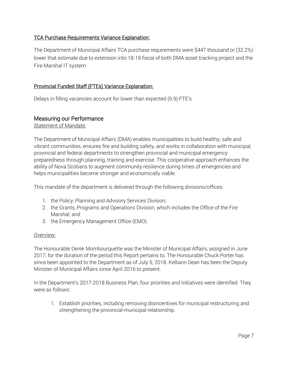# TCA Purchase Requirements Variance Explanation:

The Department of Municipal Affairs TCA purchase requirements were \$447 thousand or (32.2%) lower that estimate due to extension into 18-19 fiscal of both DMA asset tracking project and the Fire Marshal IT system.

# Provincial Funded Staff (FTEs) Variance Explanation:

Delays in filling vacancies account for lower than expected (6.9) FTE's.

# Measuring our Performance

Statement of Mandate:

The Department of Municipal Affairs (DMA) enables municipalities to build healthy, safe and vibrant communities, ensures fire and building safety, and works in collaboration with municipal, provincial and federal departments to strengthen provincial and municipal emergency preparedness through planning, training and exercise. This cooperative approach enhances the ability of Nova Scotians to augment community resilience during times of emergencies and helps municipalities become stronger and economically viable.

This mandate of the department is delivered through the following divisions/offices:

- 1. the Policy, Planning and Advisory Services Division;
- 2. the Grants, Programs and Operations Division, which includes the Office of the Fire Marshal; and
- 3. the Emergency Management Office (EMO).

#### Overview:

The Honourable Derek Mombourquette was the Minister of Municipal Affairs, assigned in June 2017, for the duration of the period this Report pertains to. The Honourable Chuck Porter has since been appointed to the Department as of July 5, 2018. Kelliann Dean has been the Deputy Minister of Municipal Affairs since April 2016 to present.

In the Department's 2017-2018 Business Plan, four priorities and initiatives were identified. They were as follows:

1. Establish priorities, including removing disincentives for municipal restructuring and strengthening the provincial-municipal relationship.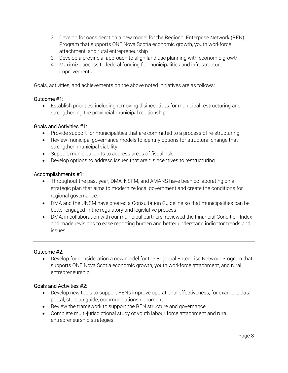- 2. Develop for consideration a new model for the Regional Enterprise Network (REN) Program that supports ONE Nova Scotia economic growth, youth workforce attachment, and rural entrepreneurship
- 3. Develop a provincial approach to align land use planning with economic growth.
- 4. Maximize access to federal funding for municipalities and infrastructure improvements.

Goals, activities, and achievements on the above noted initiatives are as follows:

# Outcome #1:

• Establish priorities, including removing disincentives for municipal restructuring and strengthening the provincial-municipal relationship.

# Goals and Activities #1:

- Provide support for municipalities that are committed to a process of re-structuring
- Review municipal governance models to identify options for structural change that strengthen municipal viability
- Support municipal units to address areas of fiscal risk
- Develop options to address issues that are disincentives to restructuring

# Accomplishments #1:

- Throughout the past year, DMA, NSFM, and AMANS have been collaborating on a strategic plan that aims to modernize local government and create the conditions for regional governance.
- DMA and the UNSM have created a Consultation Guideline so that municipalities can be better engaged in the regulatory and legislative process.
- DMA, in collaboration with our municipal partners, reviewed the Financial Condition Index and made revisions to ease reporting burden and better understand indicator trends and issues.

#### Outcome #2:

• Develop for consideration a new model for the Regional Enterprise Network Program that supports ONE Nova Scotia economic growth, youth workforce attachment, and rural entrepreneurship

#### Goals and Activities #2:

- Develop new tools to support RENs improve operational effectiveness, for example, data portal, start-up guide, communications document
- Review the framework to support the REN structure and governance
- Complete multi-jurisdictional study of youth labour force attachment and rural entrepreneurship strategies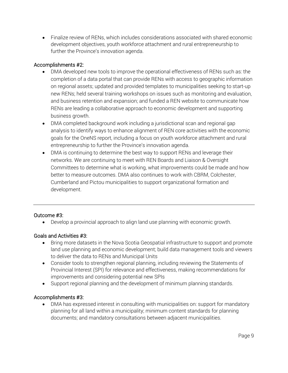• Finalize review of RENs, which includes considerations associated with shared economic development objectives, youth workforce attachment and rural entrepreneurship to further the Province's innovation agenda.

# Accomplishments #2:

- DMA developed new tools to improve the operational effectiveness of RENs such as: the completion of a data portal that can provide RENs with access to geographic information on regional assets; updated and provided templates to municipalities seeking to start-up new RENs; held several training workshops on issues such as monitoring and evaluation, and business retention and expansion; and funded a REN website to communicate how RENs are leading a collaborative approach to economic development and supporting business growth.
- DMA completed background work including a jurisdictional scan and regional gap analysis to identify ways to enhance alignment of REN core activities with the economic goals for the OneNS report, including a focus on youth workforce attachment and rural entrepreneurship to further the Province's innovation agenda.
- DMA is continuing to determine the best way to support RENs and leverage their networks. We are continuing to meet with REN Boards and Liaison & Oversight Committees to determine what is working, what improvements could be made and how better to measure outcomes. DMA also continues to work with CBRM, Colchester, Cumberland and Pictou municipalities to support organizational formation and development.

# Outcome #3:

• Develop a provincial approach to align land use planning with economic growth.

# Goals and Activities #3:

- Bring more datasets in the Nova Scotia Geospatial infrastructure to support and promote land use planning and economic development; build data management tools and viewers to deliver the data to RENs and Municipal Units
- Consider tools to strengthen regional planning, including reviewing the Statements of Provincial Interest (SPI) for relevance and effectiveness, making recommendations for improvements and considering potential new SPIs
- Support regional planning and the development of minimum planning standards.

#### Accomplishments #3:

• DMA has expressed interest in consulting with municipalities on: support for mandatory planning for all land within a municipality; minimum content standards for planning documents; and mandatory consultations between adjacent municipalities.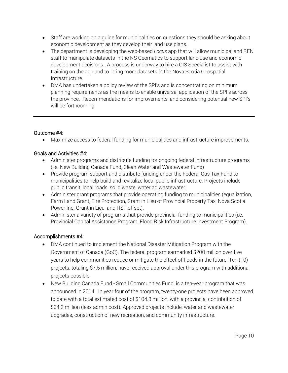- Staff are working on a guide for municipalities on questions they should be asking about economic development as they develop their land use plans.
- The department is developing the web-based *Locus* app that will allow municipal and REN staff to manipulate datasets in the NS Geomatics to support land use and economic development decisions. A process is underway to hire a GIS Specialist to assist with training on the app and to bring more datasets in the Nova Scotia Geospatial Infrastructure.
- DMA has undertaken a policy review of the SPI's and is concentrating on minimum planning requirements as the means to enable universal application of the SPI's across the province. Recommendations for improvements, and considering potential new SPI's will be forthcoming.

# Outcome #4:

• Maximize access to federal funding for municipalities and infrastructure improvements.

# Goals and Activities #4:

- Administer programs and distribute funding for ongoing federal infrastructure programs (i.e. New Building Canada Fund, Clean Water and Wastewater Fund)
- Provide program support and distribute funding under the Federal Gas Tax Fund to municipalities to help build and revitalize local public infrastructure. Projects include public transit, local roads, solid waste, water ad wastewater.
- Administer grant programs that provide operating funding to municipalities (equalization, Farm Land Grant, Fire Protection, Grant in Lieu of Provincial Property Tax, Nova Scotia Power Inc. Grant in Lieu, and HST offset).
- Administer a variety of programs that provide provincial funding to municipalities (i.e. Provincial Capital Assistance Program, Flood Risk Infrastructure Investment Program).

#### Accomplishments #4:

- DMA continued to implement the National Disaster Mitigation Program with the Government of Canada (GoC). The federal program earmarked \$200 million over five years to help communities reduce or mitigate the effect of floods in the future. Ten (10) projects, totaling \$7.5 million, have received approval under this program with additional projects possible.
- New Building Canada Fund Small Communities Fund, is a ten-year program that was announced in 2014. In year four of the program, twenty-one projects have been approved to date with a total estimated cost of \$104.8 million, with a provincial contribution of \$34.2 million (less admin cost). Approved projects include, water and wastewater upgrades, construction of new recreation, and community infrastructure.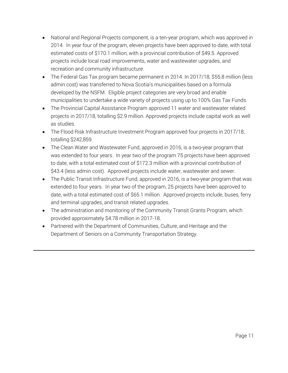- National and Regional Projects component, is a ten-year program, which was approved in 2014. In year four of the program, eleven projects have been approved to date, with total estimated costs of \$170.1 million, with a provincial contribution of \$49.5. Approved projects include local road improvements, water and wastewater upgrades, and recreation and community infrastructure.
- The Federal Gas Tax program became permanent in 2014. In 2017/18, \$55.8 million (less admin cost) was transferred to Nova Scotia's municipalities based on a formula developed by the NSFM. Eligible project categories are very broad and enable municipalities to undertake a wide variety of projects using up to 100% Gas Tax Funds.
- The Provincial Capital Assistance Program approved 11 water and wastewater related projects in 2017/18, totalling \$2.9 million. Approved projects include capital work as well as studies.
- The Flood Risk Infrastructure Investment Program approved four projects in 2017/18, totalling \$242,859.
- The Clean Water and Wastewater Fund, approved in 2016, is a two-year program that was extended to four years. In year two of the program 75 projects have been approved to date, with a total estimated cost of \$172.3 million with a provincial contribution of \$43.4 (less admin cost). Approved projects include water, wastewater and sewer.
- The Public Transit Infrastructure Fund, approved in 2016, is a two-year program that was extended to four years. In year two of the program, 25 projects have been approved to date, with a total estimated cost of \$65.1 million. Approved projects include, buses, ferry and terminal upgrades, and transit related upgrades.
- The administration and monitoring of the Community Transit Grants Program, which provided approximately \$4.78 million in 2017-18.
- Partnered with the Department of Communities, Culture, and Heritage and the Department of Seniors on a Community Transportation Strategy.